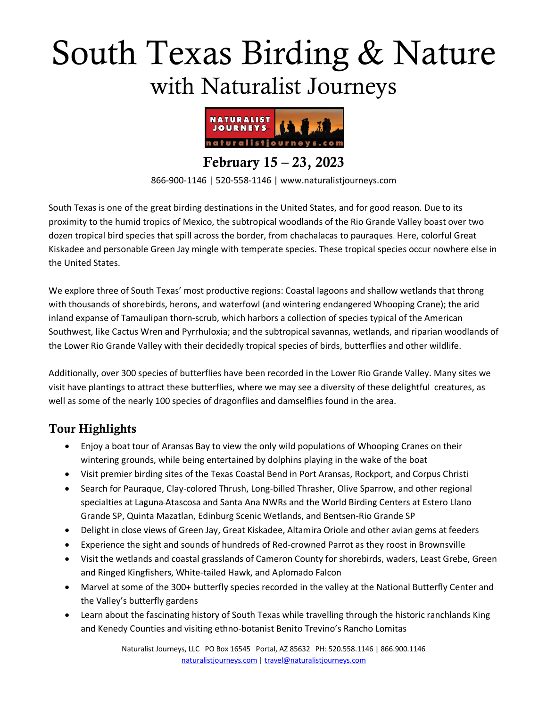# South Texas Birding & Nature with Naturalist Journeys



February 15 – 23, 2023

866-900-1146 | 520-558-1146 | www.naturalistjourneys.com

South Texas is one of the great birding destinations in the United States, and for good reason. Due to its proximity to the humid tropics of Mexico, the subtropical woodlands of the Rio Grande Valley boast over two dozen tropical bird species that spill across the border, from chachalacas to pauraques. Here, colorful Great Kiskadee and personable Green Jay mingle with temperate species. These tropical species occur nowhere else in the United States.

We explore three of South Texas' most productive regions: Coastal lagoons and shallow wetlands that throng with thousands of shorebirds, herons, and waterfowl (and wintering endangered Whooping Crane); the arid inland expanse of Tamaulipan thorn-scrub, which harbors a collection of species typical of the American Southwest, like Cactus Wren and Pyrrhuloxia; and the subtropical savannas, wetlands, and riparian woodlands of the Lower Rio Grande Valley with their decidedly tropical species of birds, butterflies and other wildlife.

Additionally, over 300 species of butterflies have been recorded in the Lower Rio Grande Valley. Many sites we visit have plantings to attract these butterflies, where we may see a diversity of these delightful creatures, as well as some of the nearly 100 species of dragonflies and damselflies found in the area.

### Tour Highlights

- Enjoy a boat tour of Aransas Bay to view the only wild populations of Whooping Cranes on their wintering grounds, while being entertained by dolphins playing in the wake of the boat
- Visit premier birding sites of the Texas Coastal Bend in Port Aransas, Rockport, and Corpus Christi
- Search for Pauraque, Clay-colored Thrush, Long-billed Thrasher, Olive Sparrow, and other regional specialties at Laguna Atascosa and Santa Ana NWRs and the World Birding Centers at Estero Llano Grande SP, Quinta Mazatlan, Edinburg Scenic Wetlands, and Bentsen-Rio Grande SP
- Delight in close views of Green Jay, Great Kiskadee, Altamira Oriole and other avian gems at feeders
- Experience the sight and sounds of hundreds of Red-crowned Parrot as they roost in Brownsville
- Visit the wetlands and coastal grasslands of Cameron County for shorebirds, waders, Least Grebe, Green and Ringed Kingfishers, White-tailed Hawk, and Aplomado Falcon
- Marvel at some of the 300+ butterfly species recorded in the valley at the National Butterfly Center and the Valley's butterfly gardens
- Learn about the fascinating history of South Texas while travelling through the historic ranchlands King and Kenedy Counties and visiting ethno-botanist Benito Trevino's Rancho Lomitas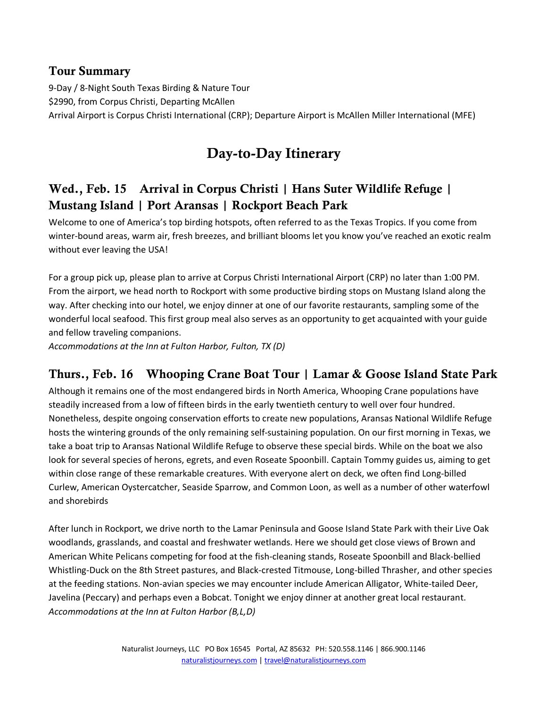#### Tour Summary

9-Day / 8-Night South Texas Birding & Nature Tour \$2990, from Corpus Christi, Departing McAllen Arrival Airport is Corpus Christi International (CRP); Departure Airport is McAllen Miller International (MFE)

# Day-to-Day Itinerary

## Wed., Feb. 15 Arrival in Corpus Christi | Hans Suter Wildlife Refuge | Mustang Island | Port Aransas | Rockport Beach Park

Welcome to one of America's top birding hotspots, often referred to as the Texas Tropics. If you come from winter-bound areas, warm air, fresh breezes, and brilliant blooms let you know you've reached an exotic realm without ever leaving the USA!

For a group pick up, please plan to arrive at Corpus Christi International Airport (CRP) no later than 1:00 PM. From the airport, we head north to Rockport with some productive birding stops on Mustang Island along the way. After checking into our hotel, we enjoy dinner at one of our favorite restaurants, sampling some of the wonderful local seafood. This first group meal also serves as an opportunity to get acquainted with your guide and fellow traveling companions.

*Accommodations at the Inn at Fulton Harbor, Fulton, TX (D)* 

### Thurs., Feb. 16 Whooping Crane Boat Tour | Lamar & Goose Island State Park

Although it remains one of the most endangered birds in North America, Whooping Crane populations have steadily increased from a low of fifteen birds in the early twentieth century to well over four hundred. Nonetheless, despite ongoing conservation efforts to create new populations, Aransas National Wildlife Refuge hosts the wintering grounds of the only remaining self-sustaining population. On our first morning in Texas, we take a boat trip to Aransas National Wildlife Refuge to observe these special birds. While on the boat we also look for several species of herons, egrets, and even Roseate Spoonbill. Captain Tommy guides us, aiming to get within close range of these remarkable creatures. With everyone alert on deck, we often find Long-billed Curlew, American Oystercatcher, Seaside Sparrow, and Common Loon, as well as a number of other waterfowl and shorebirds

After lunch in Rockport, we drive north to the Lamar Peninsula and Goose Island State Park with their Live Oak woodlands, grasslands, and coastal and freshwater wetlands. Here we should get close views of Brown and American White Pelicans competing for food at the fish-cleaning stands, Roseate Spoonbill and Black-bellied Whistling-Duck on the 8th Street pastures, and Black-crested Titmouse, Long-billed Thrasher, and other species at the feeding stations. Non-avian species we may encounter include American Alligator, White-tailed Deer, Javelina (Peccary) and perhaps even a Bobcat. Tonight we enjoy dinner at another great local restaurant. *Accommodations at the Inn at Fulton Harbor (B,L,D)*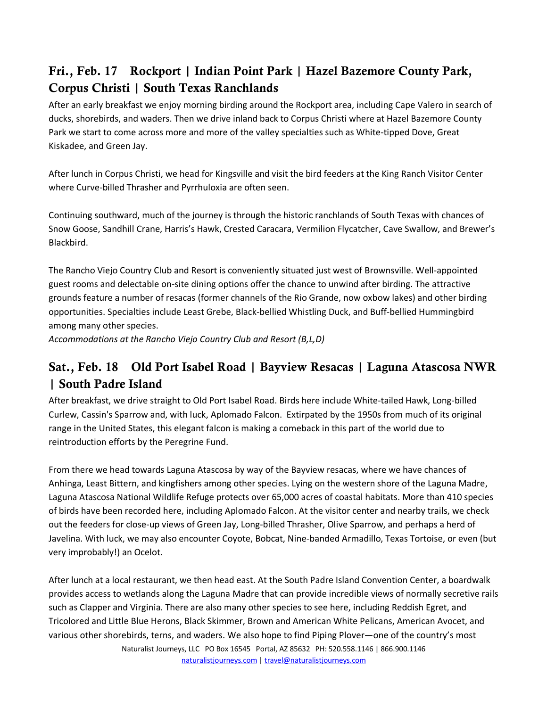## Fri., Feb. 17 Rockport | Indian Point Park | Hazel Bazemore County Park, Corpus Christi | South Texas Ranchlands

After an early breakfast we enjoy morning birding around the Rockport area, including Cape Valero in search of ducks, shorebirds, and waders. Then we drive inland back to Corpus Christi where at Hazel Bazemore County Park we start to come across more and more of the valley specialties such as White-tipped Dove, Great Kiskadee, and Green Jay.

After lunch in Corpus Christi, we head for Kingsville and visit the bird feeders at the King Ranch Visitor Center where Curve-billed Thrasher and Pyrrhuloxia are often seen.

Continuing southward, much of the journey is through the historic ranchlands of South Texas with chances of Snow Goose, Sandhill Crane, Harris's Hawk, Crested Caracara, Vermilion Flycatcher, Cave Swallow, and Brewer's Blackbird.

The Rancho Viejo Country Club and Resort is conveniently situated just west of Brownsville. Well-appointed guest rooms and delectable on-site dining options offer the chance to unwind after birding. The attractive grounds feature a number of resacas (former channels of the Rio Grande, now oxbow lakes) and other birding opportunities. Specialties include Least Grebe, Black-bellied Whistling Duck, and Buff-bellied Hummingbird among many other species.

*Accommodations at the Rancho Viejo Country Club and Resort (B,L,D)* 

## Sat., Feb. 18 Old Port Isabel Road | Bayview Resacas | Laguna Atascosa NWR | South Padre Island

After breakfast, we drive straight to Old Port Isabel Road. Birds here include White-tailed Hawk, Long-billed Curlew, Cassin's Sparrow and, with luck, Aplomado Falcon. Extirpated by the 1950s from much of its original range in the United States, this elegant falcon is making a comeback in this part of the world due to reintroduction efforts by the Peregrine Fund.

From there we head towards Laguna Atascosa by way of the Bayview resacas, where we have chances of Anhinga, Least Bittern, and kingfishers among other species. Lying on the western shore of the Laguna Madre, Laguna Atascosa National Wildlife Refuge protects over 65,000 acres of coastal habitats. More than 410 species of birds have been recorded here, including Aplomado Falcon. At the visitor center and nearby trails, we check out the feeders for close-up views of Green Jay, Long-billed Thrasher, Olive Sparrow, and perhaps a herd of Javelina. With luck, we may also encounter Coyote, Bobcat, Nine-banded Armadillo, Texas Tortoise, or even (but very improbably!) an Ocelot.

Naturalist Journeys, LLC PO Box 16545 Portal, AZ 85632 PH: 520.558.1146 | 866.900.1146 After lunch at a local restaurant, we then head east. At the South Padre Island Convention Center, a boardwalk provides access to wetlands along the Laguna Madre that can provide incredible views of normally secretive rails such as Clapper and Virginia. There are also many other species to see here, including Reddish Egret, and Tricolored and Little Blue Herons, Black Skimmer, Brown and American White Pelicans, American Avocet, and various other shorebirds, terns, and waders. We also hope to find Piping Plover―one of the country's most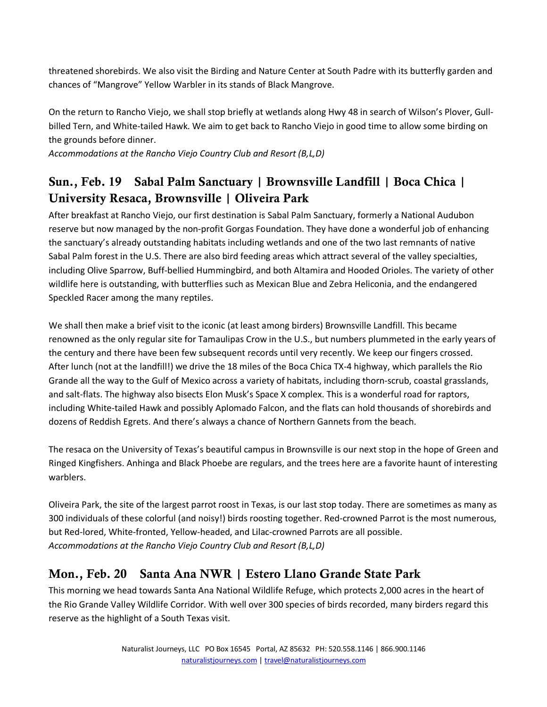threatened shorebirds. We also visit the Birding and Nature Center at South Padre with its butterfly garden and chances of "Mangrove" Yellow Warbler in its stands of Black Mangrove.

On the return to Rancho Viejo, we shall stop briefly at wetlands along Hwy 48 in search of Wilson's Plover, Gullbilled Tern, and White-tailed Hawk. We aim to get back to Rancho Viejo in good time to allow some birding on the grounds before dinner.

*Accommodations at the Rancho Viejo Country Club and Resort (B,L,D)* 

## Sun., Feb. 19 Sabal Palm Sanctuary | Brownsville Landfill | Boca Chica | University Resaca, Brownsville | Oliveira Park

After breakfast at Rancho Viejo, our first destination is Sabal Palm Sanctuary, formerly a National Audubon reserve but now managed by the non-profit Gorgas Foundation. They have done a wonderful job of enhancing the sanctuary's already outstanding habitats including wetlands and one of the two last remnants of native Sabal Palm forest in the U.S. There are also bird feeding areas which attract several of the valley specialties, including Olive Sparrow, Buff-bellied Hummingbird, and both Altamira and Hooded Orioles. The variety of other wildlife here is outstanding, with butterflies such as Mexican Blue and Zebra Heliconia, and the endangered Speckled Racer among the many reptiles.

We shall then make a brief visit to the iconic (at least among birders) Brownsville Landfill. This became renowned as the only regular site for Tamaulipas Crow in the U.S., but numbers plummeted in the early years of the century and there have been few subsequent records until very recently. We keep our fingers crossed. After lunch (not at the landfill!) we drive the 18 miles of the Boca Chica TX-4 highway, which parallels the Rio Grande all the way to the Gulf of Mexico across a variety of habitats, including thorn-scrub, coastal grasslands, and salt-flats. The highway also bisects Elon Musk's Space X complex. This is a wonderful road for raptors, including White-tailed Hawk and possibly Aplomado Falcon, and the flats can hold thousands of shorebirds and dozens of Reddish Egrets. And there's always a chance of Northern Gannets from the beach.

The resaca on the University of Texas's beautiful campus in Brownsville is our next stop in the hope of Green and Ringed Kingfishers. Anhinga and Black Phoebe are regulars, and the trees here are a favorite haunt of interesting warblers.

Oliveira Park, the site of the largest parrot roost in Texas, is our last stop today. There are sometimes as many as 300 individuals of these colorful (and noisy!) birds roosting together. Red-crowned Parrot is the most numerous, but Red-lored, White-fronted, Yellow-headed, and Lilac-crowned Parrots are all possible. *Accommodations at the Rancho Viejo Country Club and Resort (B,L,D)* 

### Mon., Feb. 20 Santa Ana NWR | Estero Llano Grande State Park

This morning we head towards Santa Ana National Wildlife Refuge, which protects 2,000 acres in the heart of the Rio Grande Valley Wildlife Corridor. With well over 300 species of birds recorded, many birders regard this reserve as the highlight of a South Texas visit.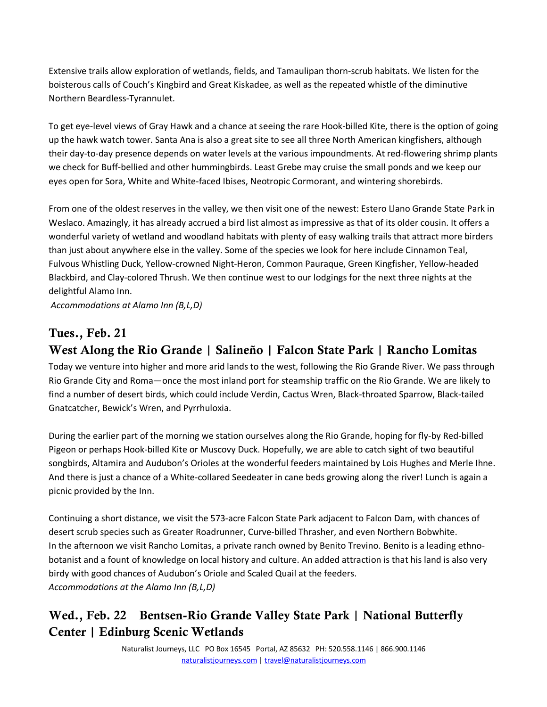Extensive trails allow exploration of wetlands, fields, and Tamaulipan thorn-scrub habitats. We listen for the boisterous calls of Couch's Kingbird and Great Kiskadee, as well as the repeated whistle of the diminutive Northern Beardless-Tyrannulet.

To get eye-level views of Gray Hawk and a chance at seeing the rare Hook-billed Kite, there is the option of going up the hawk watch tower. Santa Ana is also a great site to see all three North American kingfishers, although their day-to-day presence depends on water levels at the various impoundments. At red-flowering shrimp plants we check for Buff-bellied and other hummingbirds. Least Grebe may cruise the small ponds and we keep our eyes open for Sora, White and White-faced Ibises, Neotropic Cormorant, and wintering shorebirds.

From one of the oldest reserves in the valley, we then visit one of the newest: Estero Llano Grande State Park in Weslaco. Amazingly, it has already accrued a bird list almost as impressive as that of its older cousin. It offers a wonderful variety of wetland and woodland habitats with plenty of easy walking trails that attract more birders than just about anywhere else in the valley. Some of the species we look for here include Cinnamon Teal, Fulvous Whistling Duck, Yellow-crowned Night-Heron, Common Pauraque, Green Kingfisher, Yellow-headed Blackbird, and Clay-colored Thrush. We then continue west to our lodgings for the next three nights at the delightful Alamo Inn.

*Accommodations at Alamo Inn (B,L,D)* 

#### Tues., Feb. 21

## West Along the Rio Grande | Salineño | Falcon State Park | Rancho Lomitas

Today we venture into higher and more arid lands to the west, following the Rio Grande River. We pass through Rio Grande City and Roma—once the most inland port for steamship traffic on the Rio Grande. We are likely to find a number of desert birds, which could include Verdin, Cactus Wren, Black-throated Sparrow, Black-tailed Gnatcatcher, Bewick's Wren, and Pyrrhuloxia.

During the earlier part of the morning we station ourselves along the Rio Grande, hoping for fly-by Red-billed Pigeon or perhaps Hook-billed Kite or Muscovy Duck. Hopefully, we are able to catch sight of two beautiful songbirds, Altamira and Audubon's Orioles at the wonderful feeders maintained by Lois Hughes and Merle Ihne. And there is just a chance of a White-collared Seedeater in cane beds growing along the river! Lunch is again a picnic provided by the Inn.

Continuing a short distance, we visit the 573-acre Falcon State Park adjacent to Falcon Dam, with chances of desert scrub species such as Greater Roadrunner, Curve-billed Thrasher, and even Northern Bobwhite. In the afternoon we visit Rancho Lomitas, a private ranch owned by Benito Trevino. Benito is a leading ethnobotanist and a fount of knowledge on local history and culture. An added attraction is that his land is also very birdy with good chances of Audubon's Oriole and Scaled Quail at the feeders. *Accommodations at the Alamo Inn (B,L,D)*

## Wed., Feb. 22 Bentsen-Rio Grande Valley State Park | National Butterfly Center | Edinburg Scenic Wetlands